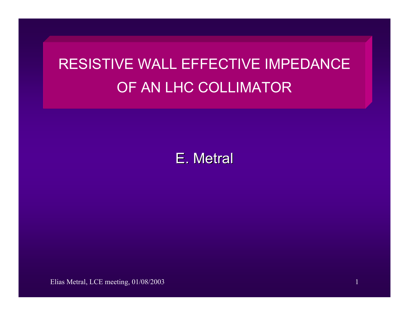# RESISTIVE WALL EFFECTIVE IMPEDANCE OF AN LHC COLLIMATOR



Elias Metral, LCE meeting, 01/08/2003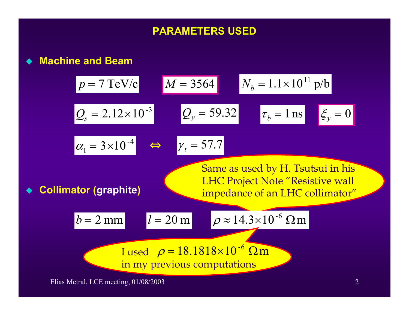# **PARAMETERS USED PARAMETERS USED**

### **Machine and Beam**

$$
p = 7 \text{ TeV/c}
$$
  
\n
$$
M = 3564
$$
  
\n
$$
N_b = 1.1 \times 10^{11} \text{ p/b}
$$
  
\n
$$
Q_s = 2.12 \times 10^{-3}
$$
  
\n
$$
Q_y = 59.32
$$
  
\n
$$
\tau_b = 1 \text{ ns}
$$
  
\n
$$
\frac{\epsilon}{y} = 0
$$
  
\n
$$
\frac{\alpha_1 = 3 \times 10^{-4}}{\varphi_1 = 3 \times 10^{-4}}
$$
  
\n
$$
\frac{\epsilon}{\varphi_2 = 57.7}
$$
  
\n
$$
\frac{\epsilon}{\varphi_3 = 1 \text{ ns}}
$$
  
\n
$$
\frac{\epsilon}{\varphi_4 = 1000}
$$
  
\n
$$
\frac{\epsilon}{\varphi_5 = 0}
$$
  
\n
$$
\frac{\epsilon}{\varphi_7 = 1000}
$$
  
\n
$$
\frac{\epsilon}{\varphi_8 = 1000}
$$
  
\n
$$
\frac{\epsilon}{\varphi_9 = 1000}
$$
  
\n
$$
\frac{\epsilon}{\varphi_9 = 1000}
$$
  
\n
$$
\frac{\epsilon}{\varphi_9 = 1000}
$$
  
\n
$$
\frac{\epsilon}{\varphi_9 = 1000}
$$
  
\n
$$
\frac{\epsilon}{\varphi_9 = 1000}
$$
  
\n
$$
\frac{\epsilon}{\varphi_9 = 1000}
$$
  
\n
$$
\frac{\epsilon}{\varphi_9 = 1000}
$$
  
\n
$$
\frac{\epsilon}{\varphi_9 = 1000}
$$
  
\n
$$
\frac{\epsilon}{\varphi_9 = 1000}
$$
  
\n
$$
\frac{\epsilon}{\varphi_9 = 1000}
$$
  
\n
$$
\frac{\epsilon}{\varphi_9 = 1000}
$$
  
\n
$$
\frac{\epsilon}{\varphi_9 = 1000}
$$
  
\n
$$
\frac{\epsilon}{\varphi_9 = 1000}
$$
  
\n
$$
\frac{\epsilon}{\varphi_9 = 1000}
$$
  
\n
$$
\frac{\epsilon}{\varphi_9 = 100
$$

Elias Metral, LCE meeting, 01/08/2003 2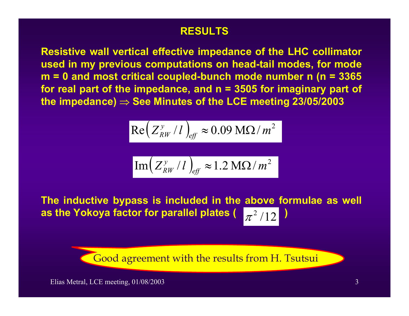## **RESULTS RESULTS**

**Resistive wall vertical effective impedance of the LHC collimator used in my previous computations on head-tail modes, for mode m = 0 and most critical coupled-bunch mode number n (n = 3365 for real part of the impedance, and n = 3505 for imaginary part of the impedance)** <sup>⇒</sup> **See Minutes of the LCE meeting 23/05/2003**

$$
\text{Re}\left(Z_{RW}^{\gamma}/l\right)_{\text{eff}} \approx 0.09 \text{ M}\Omega/m^2
$$

$$
\boxed{\mathrm{Im}\left(Z_{RW}^{y}/l\right)_{\text{eff}} \approx 1.2 \ \mathrm{M}\Omega/m^2}
$$

**The inductive bypass is included in the above formulae as well as the Yokoya factor for parallel plates (**  $\left[\pi^2/12\right]$ 

Good agreement with the results from H. Tsutsui